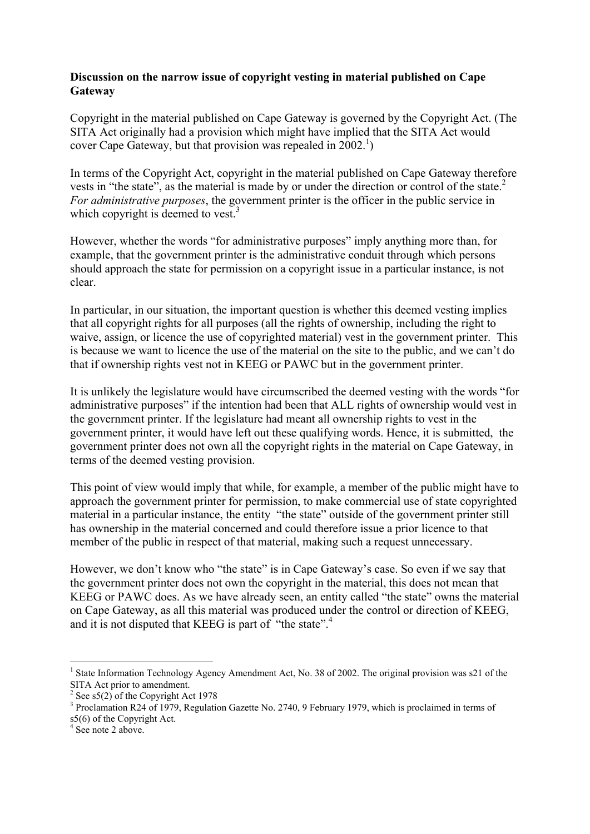## Discussion on the narrow issue of copyright vesting in material published on Cape **Gateway**

Copyright in the material published on Cape Gateway is governed by the Copyright Act. (The SITA Act originally had a provision which might have implied that the SITA Act would cover Cape Gateway, but that provision was repealed in  $2002<sup>1</sup>$ )

In terms of the Copyright Act, copyright in the material published on Cape Gateway therefore vests in "the state", as the material is made by or under the direction or control of the state. 2 *For administrative purposes*, the government printer is the officer in the public service in which copyright is deemed to vest.<sup>3</sup>

However, whether the words "for administrative purposes" imply anything more than, for example, that the government printer is the administrative conduit through which persons should approach the state for permission on a copyright issue in a particular instance, is not clear.

In particular, in our situation, the important question is whether this deemed vesting implies that all copyright rights for all purposes (all the rights of ownership, including the right to waive, assign, or licence the use of copyrighted material) vest in the government printer. This is because we want to licence the use of the material on the site to the public, and we can't do that if ownership rights vest not in KEEG or PAWC but in the government printer.

It is unlikely the legislature would have circumscribed the deemed vesting with the words "for administrative purposes" if the intention had been that ALL rights of ownership would vest in the government printer. If the legislature had meant all ownership rights to vest in the government printer, it would have left out these qualifying words. Hence, it is submitted, the government printer does not own all the copyright rights in the material on Cape Gateway, in terms of the deemed vesting provision.

This point of view would imply that while, for example, a member of the public might have to approach the government printer for permission, to make commercial use of state copyrighted material in a particular instance, the entity "the state" outside of the government printer still has ownership in the material concerned and could therefore issue a prior licence to that member of the public in respect of that material, making such a request unnecessary.

However, we don't know who "the state" is in Cape Gateway's case. So even if we say that the government printer does not own the copyright in the material, this does not mean that KEEG or PAWC does. As we have already seen, an entity called "the state" owns the material on Cape Gateway, as all this material was produced under the control or direction of KEEG, and it is not disputed that KEEG is part of "the state".<sup>4</sup>

 $\frac{1}{1}$ <sup>1</sup> State Information Technology Agency Amendment Act, No. 38 of 2002. The original provision was s21 of the SITA Act prior to amendment.

See  $s5(2)$  of the Copyright Act 1978

<sup>&</sup>lt;sup>3</sup> Proclamation R24 of 1979, Regulation Gazette No. 2740, 9 February 1979, which is proclaimed in terms of  $s5(6)$  of the Copyright Act.

 $4 \overset{\circ}{\text{See}}$  note 2 above.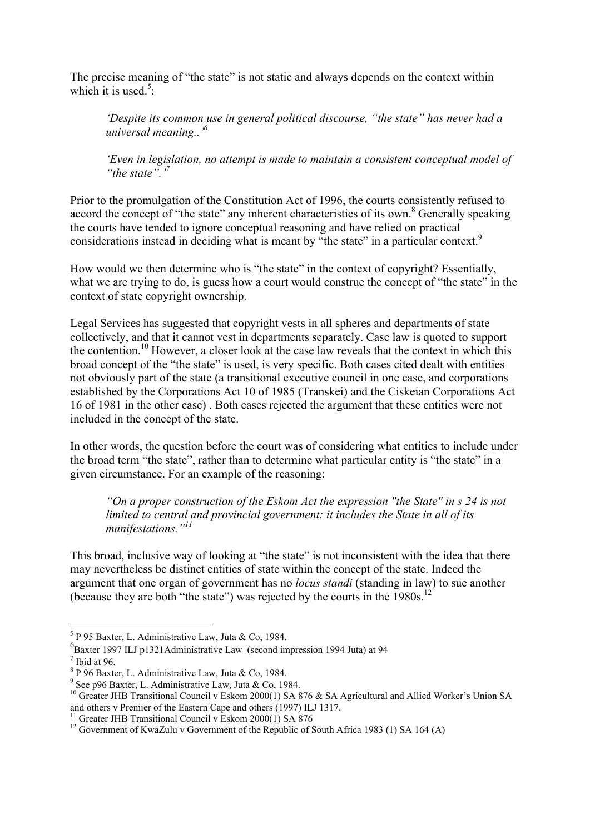The precise meaning of "the state" is not static and always depends on the context within which it is used. $5$ :

*'Despite its common use in general political discourse, "the state" has never had a universal meaning..'6*

*'Even in legislation, no attempt is made to maintain a consistent conceptual model of "the state".'<sup>7</sup>*

Prior to the promulgation of the Constitution Act of 1996, the courts consistently refused to accord the concept of "the state" any inherent characteristics of its own.<sup>8</sup> Generally speaking the courts have tended to ignore conceptual reasoning and have relied on practical considerations instead in deciding what is meant by "the state" in a particular context.<sup>9</sup>

How would we then determine who is "the state" in the context of copyright? Essentially, what we are trying to do, is guess how a court would construe the concept of "the state" in the context of state copyright ownership.

Legal Services has suggested that copyright vests in all spheres and departments of state collectively, and that it cannot vest in departments separately. Case law is quoted to support the contention.<sup>10</sup> However, a closer look at the case law reveals that the context in which this broad concept of the "the state" is used, is very specific. Both cases cited dealt with entities not obviously part of the state (a transitional executive council in one case, and corporations established by the Corporations Act 10 of 1985 (Transkei) and the Ciskeian Corporations Act 16 of 1981 in the other case) . Both cases rejected the argument that these entities were not included in the concept of the state.

In other words, the question before the court was of considering what entities to include under the broad term "the state", rather than to determine what particular entity is "the state" in a given circumstance. For an example of the reasoning:

*"On a proper construction of the Eskom Act the expression "the State" in s 24 is not limited to central and provincial government: it includes the State in all of its manifestations."<sup>11</sup>*

This broad, inclusive way of looking at "the state" is not inconsistent with the idea that there may nevertheless be distinct entities of state within the concept of the state. Indeed the argument that one organ of government has no *locus standi* (standing in law) to sue another (because they are both "the state") was rejected by the courts in the 1980s. 12

 <sup>5</sup>  $5$  P 95 Baxter, L. Administrative Law, Juta & Co, 1984.

<sup>6</sup> Baxter 1997 ILJ p1321Administrative Law (second impression 1994 Juta) at 94

 $\frac{7}{8}$  Ibid at 96.

 $8$  P 96 Baxter, L. Administrative Law, Juta & Co, 1984.

 $9$  See p96 Baxter, L. Administrative Law, Juta & Co, 1984.

<sup>&</sup>lt;sup>10</sup> Greater JHB Transitional Council v Eskom 2000(1) SA 876 & SA Agricultural and Allied Worker's Union SA and others v Premier of the Eastern Cape and others (1997) ILJ 1317.

<sup>&</sup>lt;sup>11</sup> Greater JHB Transitional Council v Eskom 2000(1) SA  $876$ 

<sup>&</sup>lt;sup>12</sup> Government of KwaZulu v Government of the Republic of South Africa 1983 (1) SA 164 (A)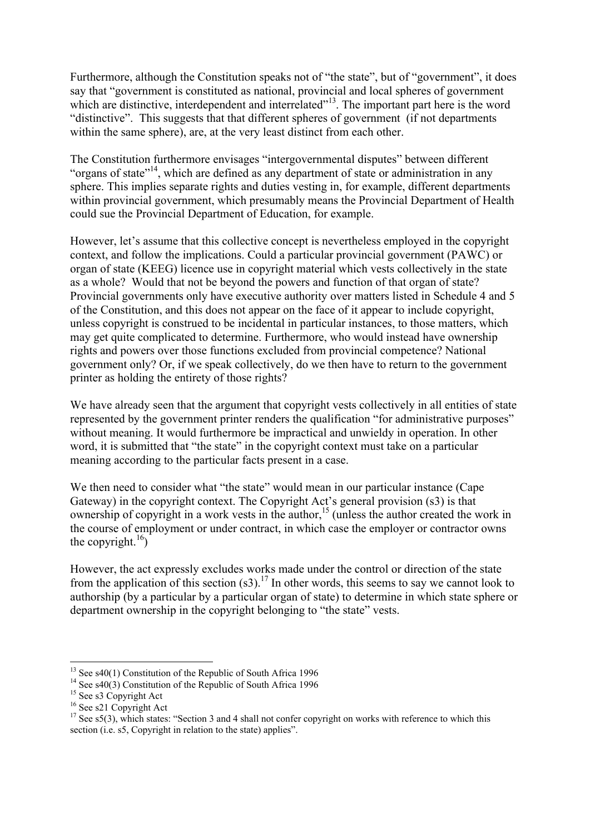Furthermore, although the Constitution speaks not of "the state", but of "government", it does say that "government is constituted as national, provincial and local spheres of government which are distinctive, interdependent and interrelated"<sup>13</sup>. The important part here is the word "distinctive". This suggests that that different spheres of government (if not departments within the same sphere), are, at the very least distinct from each other.

The Constitution furthermore envisages "intergovernmental disputes" between different "organs of state"<sup>14</sup>, which are defined as any department of state or administration in any sphere. This implies separate rights and duties vesting in, for example, different departments within provincial government, which presumably means the Provincial Department of Health could sue the Provincial Department of Education, for example.

However, let's assume that this collective concept is nevertheless employed in the copyright context, and follow the implications. Could a particular provincial government (PAWC) or organ of state (KEEG) licence use in copyright material which vests collectively in the state as a whole? Would that not be beyond the powers and function of that organ of state? Provincial governments only have executive authority over matters listed in Schedule 4 and 5 of the Constitution, and this does not appear on the face of it appear to include copyright, unless copyright is construed to be incidental in particular instances, to those matters, which may get quite complicated to determine. Furthermore, who would instead have ownership rights and powers over those functions excluded from provincial competence? National government only? Or, if we speak collectively, do we then have to return to the government printer as holding the entirety of those rights?

We have already seen that the argument that copyright vests collectively in all entities of state represented by the government printer renders the qualification "for administrative purposes" without meaning. It would furthermore be impractical and unwieldy in operation. In other word, it is submitted that "the state" in the copyright context must take on a particular meaning according to the particular facts present in a case.

We then need to consider what "the state" would mean in our particular instance (Cape Gateway) in the copyright context. The Copyright Act's general provision (s3) is that ownership of copyright in a work vests in the author, 15 (unless the author created the work in the course of employment or under contract, in which case the employer or contractor owns the copyright.<sup>16</sup>)

However, the act expressly excludes works made under the control or direction of the state from the application of this section  $(s3)$ .<sup>17</sup> In other words, this seems to say we cannot look to authorship (by a particular by a particular organ of state) to determine in which state sphere or department ownership in the copyright belonging to "the state" vests.

<sup>&</sup>lt;sup>13</sup> <sup>13</sup> See s40(1) Constitution of the Republic of South Africa 1996<br><sup>14</sup> See s40(3) Constitution of the Republic of South Africa 1006

<sup>&</sup>lt;sup>14</sup> See s40(3) Constitution of the Republic of South Africa 1996

 $^{15}$  See s3 Copyright Act

 $16$  See s21 Copyright Act

 $17$  See s5(3), which states: "Section 3 and 4 shall not confer copyright on works with reference to which this section (i.e. s5, Copyright in relation to the state) applies".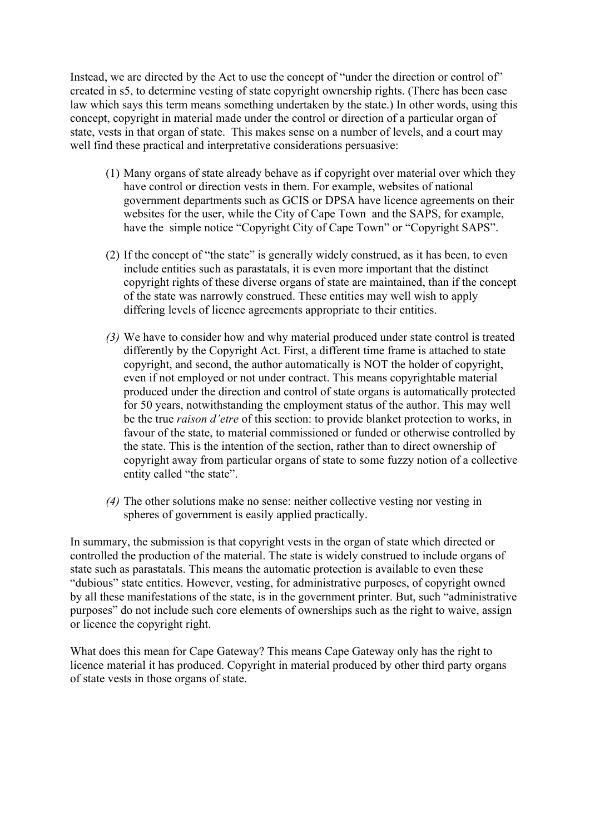Instead, we are directed by the Act to use the concept of "under the direction or control of" created in s5, to determine vesting of state copyright ownership rights. (There has been case law which says this term means something undertaken by the state.) In other words, using this concept, copyright in material made under the control or direction of a particular organ of state, vests in that organ of state. This makes sense on a number of levels, and a court may well find these practical and interpretative considerations persuasive:

- (1) Many organs of state already behave as if copyright over material over which they have control or direction vests in them. For example, websites of national government departments such as GCIS or DPSA have licence agreements on their websites for the user, while the City of Cape Town and the SAPS, for example, have the simple notice "Copyright City of Cape Town" or "Copyright SAPS".
- (2) If the concept of "the state" is generally widely construed, as it has been, to even include entities such as parastatals, it is even more important that the distinct copyright rights of these diverse organs of state are maintained, than if the concept of the state was narrowly construed. These entities may well wish to apply differing levels of licence agreements appropriate to their entities.
- *(3)* We have to consider how and why material produced under state control is treated differently by the Copyright Act. First, a different time frame is attached to state copyright, and second, the author automatically is NOT the holder of copyright, even if not employed or not under contract. This means copyrightable material produced under the direction and control of state organs is automatically protected for 50 years, notwithstanding the employment status of the author. This may well be the true *raison d'etre* of this section: to provide blanket protection to works, in favour of the state, to material commissioned or funded or otherwise controlled by the state. This is the intention of the section, rather than to direct ownership of copyright away from particular organs of state to some fuzzy notion of a collective entity called "the state".
- *(4)* The other solutions make no sense: neither collective vesting nor vesting in spheres of government is easily applied practically.

In summary, the submission is that copyright vests in the organ of state which directed or controlled the production of the material. The state is widely construed to include organs of state such as parastatals. This means the automatic protection is available to even these "dubious" state entities. However, vesting, for administrative purposes, of copyright owned by all these manifestations of the state, is in the government printer. But, such "administrative purposes" do not include such core elements of ownerships such as the right to waive, assign or licence the copyright right.

What does this mean for Cape Gateway? This means Cape Gateway only has the right to licence material it has produced. Copyright in material produced by other third party organs of state vests in those organs of state.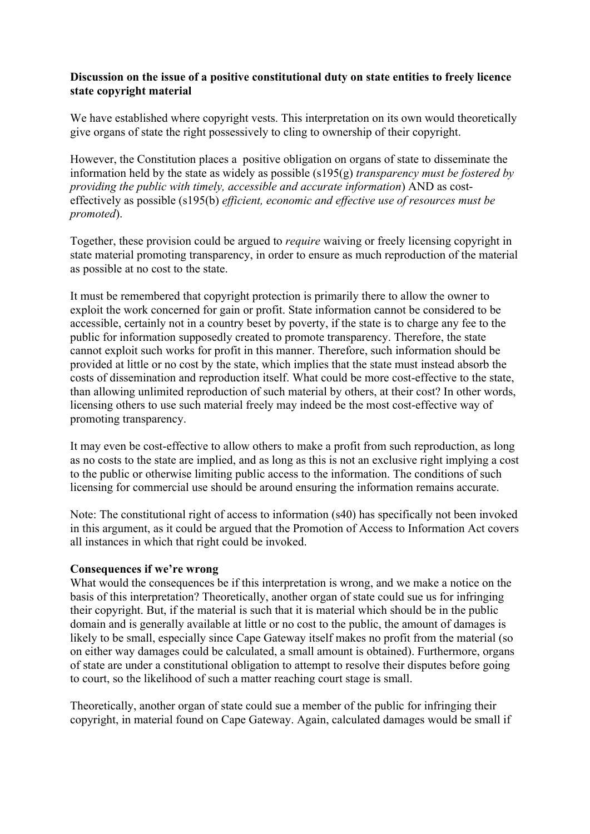## Discussion on the issue of a positive constitutional duty on state entities to freely licence state copyright material

We have established where copyright vests. This interpretation on its own would theoretically give organs of state the right possessively to cling to ownership of their copyright.

However, the Constitution places a positive obligation on organs of state to disseminate the information held by the state as widely as possible (s195(g) *transparency must be fostered by providing the public with timely, accessible and accurate information*) AND as costeffectively as possible (s195(b) *efficient, economic and effective use of resources must be promoted*).

Together, these provision could be argued to *require* waiving or freely licensing copyright in state material promoting transparency, in order to ensure as much reproduction of the material as possible at no cost to the state.

It must be remembered that copyright protection is primarily there to allow the owner to exploit the work concerned for gain or profit. State information cannot be considered to be accessible, certainly not in a country beset by poverty, if the state is to charge any fee to the public for information supposedly created to promote transparency. Therefore, the state cannot exploit such works for profit in this manner. Therefore, such information should be provided at little or no cost by the state, which implies that the state must instead absorb the costs of dissemination and reproduction itself. What could be more cost-effective to the state, than allowing unlimited reproduction of such material by others, at their cost? In other words, licensing others to use such material freely may indeed be the most cost-effective way of promoting transparency.

It may even be cost-effective to allow others to make a profit from such reproduction, as long as no costs to the state are implied, and as long as this is not an exclusive right implying a cost to the public or otherwise limiting public access to the information. The conditions of such licensing for commercial use should be around ensuring the information remains accurate.

Note: The constitutional right of access to information (s40) has specifically not been invoked in this argument, as it could be argued that the Promotion of Access to Information Act covers all instances in which that right could be invoked.

## Consequences if we're wrong

What would the consequences be if this interpretation is wrong, and we make a notice on the basis of this interpretation? Theoretically, another organ of state could sue us for infringing their copyright. But, if the material is such that it is material which should be in the public domain and is generally available at little or no cost to the public, the amount of damages is likely to be small, especially since Cape Gateway itself makes no profit from the material (so on either way damages could be calculated, a small amount is obtained). Furthermore, organs of state are under a constitutional obligation to attempt to resolve their disputes before going to court, so the likelihood of such a matter reaching court stage is small.

Theoretically, another organ of state could sue a member of the public for infringing their copyright, in material found on Cape Gateway. Again, calculated damages would be small if